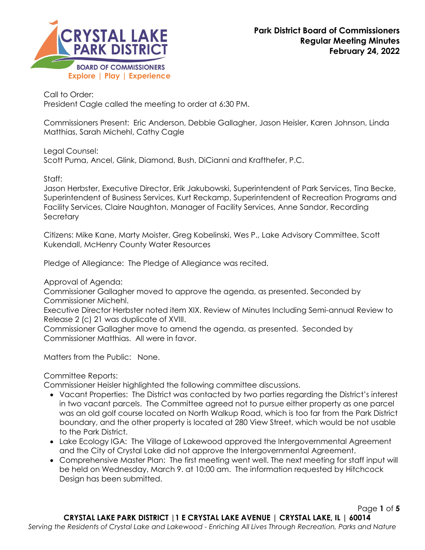

Call to Order: President Cagle called the meeting to order at 6:30 PM.

Commissioners Present: Eric Anderson, Debbie Gallagher, Jason Heisler, Karen Johnson, Linda Matthias, Sarah Michehl, Cathy Cagle

Legal Counsel:

Scott Puma, Ancel, Glink, Diamond, Bush, DiCianni and Krafthefer, P.C.

Staff:

Jason Herbster, Executive Director, Erik Jakubowski, Superintendent of Park Services, Tina Becke, Superintendent of Business Services, Kurt Reckamp, Superintendent of Recreation Programs and Facility Services, Claire Naughton, Manager of Facility Services, Anne Sandor, Recording **Secretary** 

Citizens: Mike Kane, Marty Moister, Greg Kobelinski, Wes P., Lake Advisory Committee, Scott Kukendall, McHenry County Water Resources

Pledge of Allegiance: The Pledge of Allegiance was recited.

Approval of Agenda:

Commissioner Gallagher moved to approve the agenda, as presented. Seconded by Commissioner Michehl.

Executive Director Herbster noted item XIX. Review of Minutes Including Semi-annual Review to Release 2 (c) 21 was duplicate of XVIII.

Commissioner Gallagher move to amend the agenda, as presented. Seconded by Commissioner Matthias. All were in favor.

Matters from the Public: None.

Committee Reports:

Commissioner Heisler highlighted the following committee discussions.

- Vacant Properties: The District was contacted by two parties regarding the District's interest in two vacant parcels. The Committee agreed not to pursue either property as one parcel was an old golf course located on North Walkup Road, which is too far from the Park District boundary, and the other property is located at 280 View Street, which would be not usable to the Park District.
- Lake Ecology IGA:The Village of Lakewood approved the Intergovernmental Agreement and the City of Crystal Lake did not approve the Intergovernmental Agreement.
- Comprehensive Master Plan: The first meeting went well. The next meeting for staff input will be held on Wednesday, March 9. at 10:00 am. The information requested by Hitchcock Design has been submitted.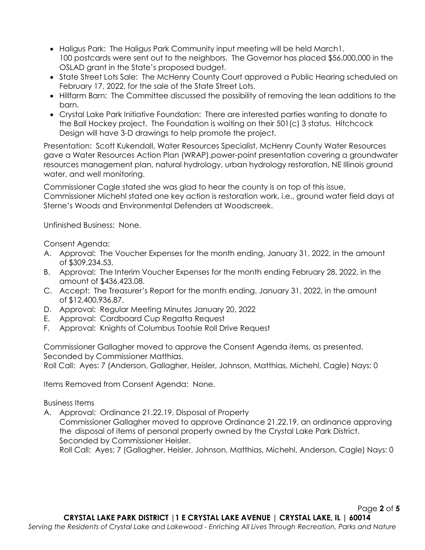- Haligus Park: The Haligus Park Community input meeting will be held March1. 100 postcards were sent out to the neighbors. The Governor has placed \$56,000,000 in the OSLAD grant in the State's proposed budget.
- State Street Lots Sale: The McHenry County Court approved a Public Hearing scheduled on February 17, 2022, for the sale of the State Street Lots.
- Hillfarm Barn: The Committee discussed the possibility of removing the lean additions to the barn.
- Crystal Lake Park Initiative Foundation: There are interested parties wanting to donate to the Ball Hockey project. The Foundation is waiting on their 501(c) 3 status. Hitchcock Design will have 3-D drawings to help promote the project.

Presentation: Scott Kukendall, Water Resources Specialist, McHenry County Water Resources gave a [Water Resources Action Plan \(WRAP\),](https://www.mchenrycountyil.gov/county-government/departments-j-z/planning-development/water-resources/water-resources-action-plan)power-point presentation covering a groundwater resources management plan, natural hydrology, urban hydrology restoration, NE Illinois ground water, and well monitoring.

Commissioner Cagle stated she was glad to hear the county is on top of this issue.

Commissioner Michehl stated one key action is restoration work, i.e., ground water field days at Sterne's Woods and Environmental Defenders at Woodscreek.

Unfinished Business: None.

Consent Agenda:

- A. Approval: The Voucher Expenses for the month ending, January 31, 2022, in the amount of \$309,234.53.
- B. Approval: The Interim Voucher Expenses for the month ending February 28, 2022, in the amount of \$436,423.08.
- C. Accept: The Treasurer's Report for the month ending, January 31, 2022, in the amount of \$12,400,936.87.
- D. Approval: Regular Meeting Minutes January 20, 2022
- E. Approval: Cardboard Cup Regatta Request
- F. Approval: Knights of Columbus Tootsie Roll Drive Request

Commissioner Gallagher moved to approve the Consent Agenda items, as presented. Seconded by Commissioner Matthias.

Roll Call: Ayes: 7 (Anderson, Gallagher, Heisler, Johnson, Matthias, Michehl, Cagle) Nays: 0

Items Removed from Consent Agenda: None.

Business Items

A. Approval: Ordinance 21.22.19, Disposal of Property

Commissioner Gallagher moved to approve Ordinance 21.22.19, an ordinance approving the disposal of items of personal property owned by the Crystal Lake Park District. Seconded by Commissioner Heisler.

Roll Call: Ayes: 7 (Gallagher, Heisler, Johnson, Matthias, Michehl, Anderson, Cagle) Nays: 0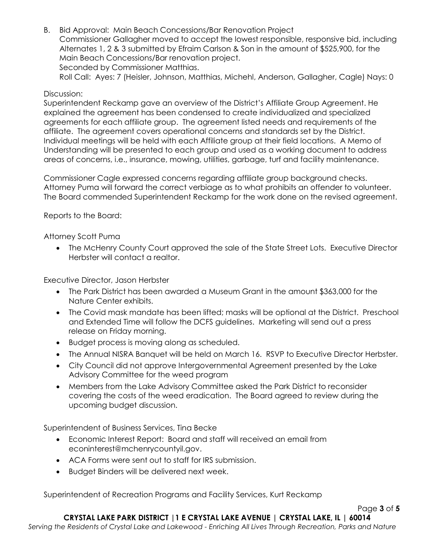B. Bid Approval: Main Beach Concessions/Bar Renovation Project Commissioner Gallagher moved to accept the lowest responsible, responsive bid, including Alternates 1, 2 & 3 submitted by Efraim Carlson & Son in the amount of \$525,900, for the Main Beach Concessions/Bar renovation project. Seconded by Commissioner Matthias. Roll Call: Ayes: 7 (Heisler, Johnson, Matthias, Michehl, Anderson, Gallagher, Cagle) Nays: 0

## Discussion:

Superintendent Reckamp gave an overview of the District's Affiliate Group Agreement. He explained the agreement has been condensed to create individualized and specialized agreements for each affiliate group. The agreement listed needs and requirements of the affiliate. The agreement covers operational concerns and standards set by the District. Individual meetings will be held with each Affiliate group at their field locations. A Memo of Understanding will be presented to each group and used as a working document to address areas of concerns, i.e., insurance, mowing, utilities, garbage, turf and facility maintenance.

Commissioner Cagle expressed concerns regarding affiliate group background checks. Attorney Puma will forward the correct verbiage as to what prohibits an offender to volunteer. The Board commended Superintendent Reckamp for the work done on the revised agreement.

Reports to the Board:

Attorney Scott Puma

• The McHenry County Court approved the sale of the State Street Lots. Executive Director Herbster will contact a realtor.

Executive Director, Jason Herbster

- The Park District has been awarded a Museum Grant in the amount \$363,000 for the Nature Center exhibits.
- The Covid mask mandate has been lifted; masks will be optional at the District. Preschool and Extended Time will follow the DCFS guidelines. Marketing will send out a press release on Friday morning.
- Budget process is moving along as scheduled.
- The Annual NISRA Banquet will be held on March 16. RSVP to Executive Director Herbster.
- City Council did not approve Intergovernmental Agreement presented by the Lake Advisory Committee for the weed program
- Members from the Lake Advisory Committee asked the Park District to reconsider covering the costs of the weed eradication. The Board agreed to review during the upcoming budget discussion.

Superintendent of Business Services, Tina Becke

- Economic Interest Report: Board and staff will received an email from [econinterest@mchenrycountyil.gov.](mailto:econinterest@mchenrycountyil.gov)
- ACA Forms were sent out to staff for IRS submission.
- Budget Binders will be delivered next week.

Superintendent of Recreation Programs and Facility Services, Kurt Reckamp

Page **3** of **5**

*Serving the Residents of Crystal Lake and Lakewood - Enriching All Lives Through Recreation, Parks and Nature*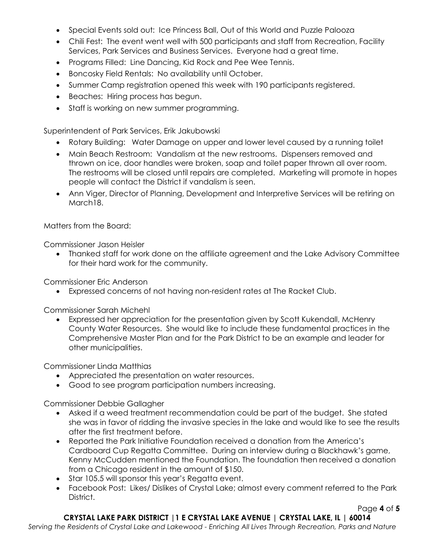- Special Events sold out: Ice Princess Ball, Out of this World and Puzzle Palooza
- Chili Fest: The event went well with 500 participants and staff from Recreation, Facility Services, Park Services and Business Services. Everyone had a great time.
- Programs Filled: Line Dancing, Kid Rock and Pee Wee Tennis.
- Boncosky Field Rentals: No availability until October.
- Summer Camp registration opened this week with 190 participants registered.
- Beaches: Hiring process has begun.
- Staff is working on new summer programming.

Superintendent of Park Services, Erik Jakubowski

- Rotary Building: Water Damage on upper and lower level caused by a running toilet
- Main Beach Restroom: Vandalism at the new restrooms. Dispensers removed and thrown on ice, door handles were broken, soap and toilet paper thrown all over room. The restrooms will be closed until repairs are completed. Marketing will promote in hopes people will contact the District if vandalism is seen.
- Ann Viger, Director of Planning, Development and Interpretive Services will be retiring on March18.

Matters from the Board:

Commissioner Jason Heisler

 Thanked staff for work done on the affiliate agreement and the Lake Advisory Committee for their hard work for the community.

Commissioner Eric Anderson

Expressed concerns of not having non-resident rates at The Racket Club.

Commissioner Sarah Michehl

 Expressed her appreciation for the presentation given by Scott Kukendall, McHenry County Water Resources. She would like to include these fundamental practices in the Comprehensive Master Plan and for the Park District to be an example and leader for other municipalities.

Commissioner Linda Matthias

- Appreciated the presentation on water resources.
- Good to see program participation numbers increasing.

Commissioner Debbie Gallagher

- Asked if a weed treatment recommendation could be part of the budget. She stated she was in favor of ridding the invasive species in the lake and would like to see the results after the first treatment before.
- Reported the Park Initiative Foundation received a donation from the America's Cardboard Cup Regatta Committee. During an interview during a Blackhawk's game, Kenny McCudden mentioned the Foundation. The foundation then received a donation from a Chicago resident in the amount of \$150.
- Star 105.5 will sponsor this year's Regatta event.
- Facebook Post: Likes/ Dislikes of Crystal Lake; almost every comment referred to the Park District.

Page **4** of **5**

**CRYSTAL LAKE PARK DISTRICT |1 E CRYSTAL LAKE AVENUE | CRYSTAL LAKE, IL | 60014**

*Serving the Residents of Crystal Lake and Lakewood - Enriching All Lives Through Recreation, Parks and Nature*